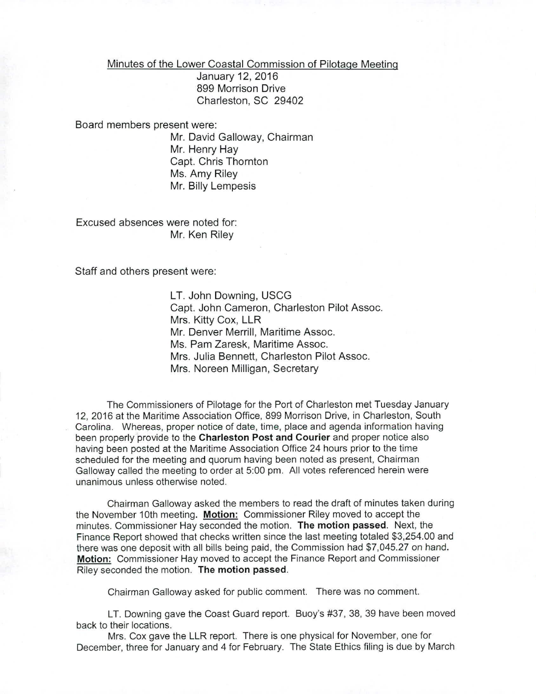Minutes of the Lower Coastal Commission of Pilotage Meeting

January 12, 2016 899 Morrison Drive Charleston, SC 29402

Board members present were:

Mr. David Galloway, Chairman Mr. Henry Hay Capt. Chris Thornton Ms. Amy Riley Mr. Billy Lempesis

Excused absences were noted for: Mr. Ken Riley

*Staff* and others present were:

LT. John Downing, USCG Capt. John Cameron, Charleston Pilot Assoc. Mrs. Kitty Cox, LLR Mr. Denver Merrill, Maritime Assoc. Ms. Pam Zaresk, Maritime Assoc. Mrs. Julia Bennett, Charleston Pilot Assoc. Mrs. Noreen Milligan, Secretary

The Commissioners of Pilotage for the Port of Charleston met Tuesday January 12, 2016 at the Maritime Association Office, 899 Morrison Drive, in Charleston, South Carolina. Whereas, proper notice of date, time, place and agenda information having been properly provide to the Charleston Post and Courier and proper notice also having been posted at the Maritime Association Office 24 hours prior to the time scheduled for the meeting and quorum having been noted as present, Chairman Galloway called the meeting to order at 5:00 pm. All votes referenced herein were unanimous unless otherwise noted.

Chairman Galloway asked the members to read the draft of minutes taken during the November 10th meeting. Motion: Commissioner Riley moved to accept the minutes. Commissioner Hay seconded the motion. The motion passed. Next, the Finance Report showed that checks written since the last meeting totaled \$3,254.00 and there was one deposit with all bills being paid, the Commission had \$7,045.27 on hand. Motion: Commissioner Hay moved to accept the Finance Report and Commissioner Riley seconded the motion. The motion passed.

Chairman Galloway asked for public comment. There was no comment.

LT. Downing gave the Coast Guard report. Buoy's #37,38,39 have been moved back to their locations.

Mrs. Cox gave the LLR report. There is one physical for November, one for December, three for January and 4 for February. The State Ethics filing is due by March